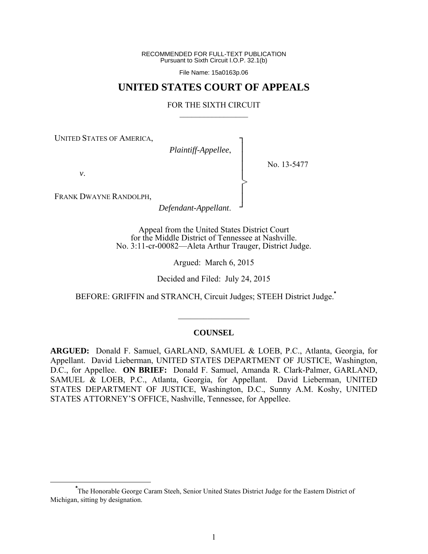RECOMMENDED FOR FULL-TEXT PUBLICATION Pursuant to Sixth Circuit I.O.P. 32.1(b)

File Name: 15a0163p.06

# **UNITED STATES COURT OF APPEALS**

#### FOR THE SIXTH CIRCUIT  $\mathcal{L}_\text{max}$

┐ │ │ │ │ │ │ ┘

>

UNITED STATES OF AMERICA,

*Plaintiff-Appellee*,

No. 13-5477

*v*.

FRANK DWAYNE RANDOLPH,

*Defendant-Appellant*.

Appeal from the United States District Court for the Middle District of Tennessee at Nashville. No. 3:11-cr-00082—Aleta Arthur Trauger, District Judge.

Argued: March 6, 2015

Decided and Filed: July 24, 2015

BEFORE: GRIFFIN and STRANCH, Circuit Judges; STEEH District Judge.**\***

### **COUNSEL**

 $\frac{1}{2}$ 

**ARGUED:** Donald F. Samuel, GARLAND, SAMUEL & LOEB, P.C., Atlanta, Georgia, for Appellant. David Lieberman, UNITED STATES DEPARTMENT OF JUSTICE, Washington, D.C., for Appellee. **ON BRIEF:** Donald F. Samuel, Amanda R. Clark-Palmer, GARLAND, SAMUEL & LOEB, P.C., Atlanta, Georgia, for Appellant. David Lieberman, UNITED STATES DEPARTMENT OF JUSTICE, Washington, D.C., Sunny A.M. Koshy, UNITED STATES ATTORNEY'S OFFICE, Nashville, Tennessee, for Appellee.

**\*** The Honorable George Caram Steeh, Senior United States District Judge for the Eastern District of Michigan, sitting by designation.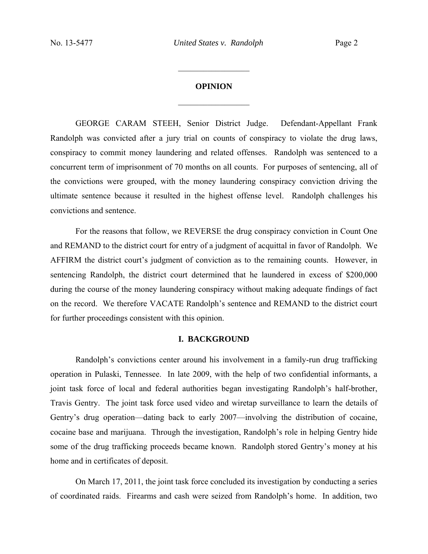### **OPINION**

 $\frac{1}{2}$  ,  $\frac{1}{2}$  ,  $\frac{1}{2}$  ,  $\frac{1}{2}$  ,  $\frac{1}{2}$  ,  $\frac{1}{2}$  ,  $\frac{1}{2}$  ,  $\frac{1}{2}$  ,  $\frac{1}{2}$ 

 $\frac{1}{2}$  ,  $\frac{1}{2}$  ,  $\frac{1}{2}$  ,  $\frac{1}{2}$  ,  $\frac{1}{2}$  ,  $\frac{1}{2}$  ,  $\frac{1}{2}$  ,  $\frac{1}{2}$  ,  $\frac{1}{2}$ 

GEORGE CARAM STEEH, Senior District Judge. Defendant-Appellant Frank Randolph was convicted after a jury trial on counts of conspiracy to violate the drug laws, conspiracy to commit money laundering and related offenses. Randolph was sentenced to a concurrent term of imprisonment of 70 months on all counts. For purposes of sentencing, all of the convictions were grouped, with the money laundering conspiracy conviction driving the ultimate sentence because it resulted in the highest offense level. Randolph challenges his convictions and sentence.

For the reasons that follow, we REVERSE the drug conspiracy conviction in Count One and REMAND to the district court for entry of a judgment of acquittal in favor of Randolph. We AFFIRM the district court's judgment of conviction as to the remaining counts. However, in sentencing Randolph, the district court determined that he laundered in excess of \$200,000 during the course of the money laundering conspiracy without making adequate findings of fact on the record. We therefore VACATE Randolph's sentence and REMAND to the district court for further proceedings consistent with this opinion.

# **I. BACKGROUND**

Randolph's convictions center around his involvement in a family-run drug trafficking operation in Pulaski, Tennessee. In late 2009, with the help of two confidential informants, a joint task force of local and federal authorities began investigating Randolph's half-brother, Travis Gentry. The joint task force used video and wiretap surveillance to learn the details of Gentry's drug operation—dating back to early 2007—involving the distribution of cocaine, cocaine base and marijuana. Through the investigation, Randolph's role in helping Gentry hide some of the drug trafficking proceeds became known. Randolph stored Gentry's money at his home and in certificates of deposit.

On March 17, 2011, the joint task force concluded its investigation by conducting a series of coordinated raids. Firearms and cash were seized from Randolph's home. In addition, two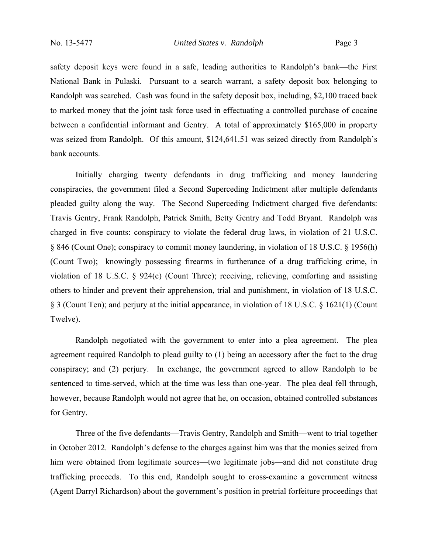safety deposit keys were found in a safe, leading authorities to Randolph's bank—the First National Bank in Pulaski. Pursuant to a search warrant, a safety deposit box belonging to Randolph was searched. Cash was found in the safety deposit box, including, \$2,100 traced back to marked money that the joint task force used in effectuating a controlled purchase of cocaine between a confidential informant and Gentry. A total of approximately \$165,000 in property was seized from Randolph. Of this amount, \$124,641.51 was seized directly from Randolph's bank accounts.

Initially charging twenty defendants in drug trafficking and money laundering conspiracies, the government filed a Second Superceding Indictment after multiple defendants pleaded guilty along the way. The Second Superceding Indictment charged five defendants: Travis Gentry, Frank Randolph, Patrick Smith, Betty Gentry and Todd Bryant. Randolph was charged in five counts: conspiracy to violate the federal drug laws, in violation of 21 U.S.C. § 846 (Count One); conspiracy to commit money laundering, in violation of 18 U.S.C. § 1956(h) (Count Two); knowingly possessing firearms in furtherance of a drug trafficking crime, in violation of 18 U.S.C. § 924(c) (Count Three); receiving, relieving, comforting and assisting others to hinder and prevent their apprehension, trial and punishment, in violation of 18 U.S.C. § 3 (Count Ten); and perjury at the initial appearance, in violation of 18 U.S.C. § 1621(1) (Count Twelve).

Randolph negotiated with the government to enter into a plea agreement. The plea agreement required Randolph to plead guilty to (1) being an accessory after the fact to the drug conspiracy; and (2) perjury. In exchange, the government agreed to allow Randolph to be sentenced to time-served, which at the time was less than one-year. The plea deal fell through, however, because Randolph would not agree that he, on occasion, obtained controlled substances for Gentry.

Three of the five defendants—Travis Gentry, Randolph and Smith—went to trial together in October 2012. Randolph's defense to the charges against him was that the monies seized from him were obtained from legitimate sources—two legitimate jobs—and did not constitute drug trafficking proceeds. To this end, Randolph sought to cross-examine a government witness (Agent Darryl Richardson) about the government's position in pretrial forfeiture proceedings that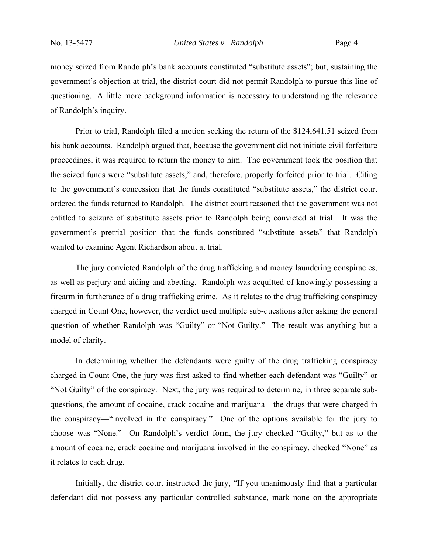money seized from Randolph's bank accounts constituted "substitute assets"; but, sustaining the government's objection at trial, the district court did not permit Randolph to pursue this line of questioning. A little more background information is necessary to understanding the relevance of Randolph's inquiry.

Prior to trial, Randolph filed a motion seeking the return of the \$124,641.51 seized from his bank accounts. Randolph argued that, because the government did not initiate civil forfeiture proceedings, it was required to return the money to him. The government took the position that the seized funds were "substitute assets," and, therefore, properly forfeited prior to trial. Citing to the government's concession that the funds constituted "substitute assets," the district court ordered the funds returned to Randolph. The district court reasoned that the government was not entitled to seizure of substitute assets prior to Randolph being convicted at trial. It was the government's pretrial position that the funds constituted "substitute assets" that Randolph wanted to examine Agent Richardson about at trial.

The jury convicted Randolph of the drug trafficking and money laundering conspiracies, as well as perjury and aiding and abetting. Randolph was acquitted of knowingly possessing a firearm in furtherance of a drug trafficking crime. As it relates to the drug trafficking conspiracy charged in Count One, however, the verdict used multiple sub-questions after asking the general question of whether Randolph was "Guilty" or "Not Guilty." The result was anything but a model of clarity.

In determining whether the defendants were guilty of the drug trafficking conspiracy charged in Count One, the jury was first asked to find whether each defendant was "Guilty" or "Not Guilty" of the conspiracy. Next, the jury was required to determine, in three separate subquestions, the amount of cocaine, crack cocaine and marijuana—the drugs that were charged in the conspiracy—"involved in the conspiracy." One of the options available for the jury to choose was "None." On Randolph's verdict form, the jury checked "Guilty," but as to the amount of cocaine, crack cocaine and marijuana involved in the conspiracy, checked "None" as it relates to each drug.

Initially, the district court instructed the jury, "If you unanimously find that a particular defendant did not possess any particular controlled substance, mark none on the appropriate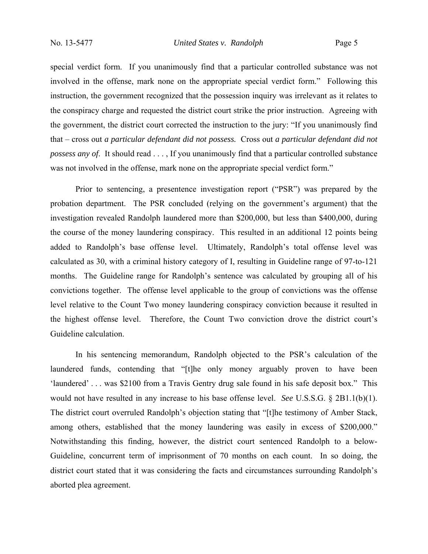special verdict form. If you unanimously find that a particular controlled substance was not involved in the offense, mark none on the appropriate special verdict form." Following this instruction, the government recognized that the possession inquiry was irrelevant as it relates to the conspiracy charge and requested the district court strike the prior instruction. Agreeing with the government, the district court corrected the instruction to the jury: "If you unanimously find that – cross out *a particular defendant did not possess.* Cross out *a particular defendant did not possess any of*. It should read . . . , If you unanimously find that a particular controlled substance was not involved in the offense, mark none on the appropriate special verdict form."

Prior to sentencing, a presentence investigation report ("PSR") was prepared by the probation department. The PSR concluded (relying on the government's argument) that the investigation revealed Randolph laundered more than \$200,000, but less than \$400,000, during the course of the money laundering conspiracy. This resulted in an additional 12 points being added to Randolph's base offense level. Ultimately, Randolph's total offense level was calculated as 30, with a criminal history category of I, resulting in Guideline range of 97-to-121 months. The Guideline range for Randolph's sentence was calculated by grouping all of his convictions together. The offense level applicable to the group of convictions was the offense level relative to the Count Two money laundering conspiracy conviction because it resulted in the highest offense level. Therefore, the Count Two conviction drove the district court's Guideline calculation.

In his sentencing memorandum, Randolph objected to the PSR's calculation of the laundered funds, contending that "[t]he only money arguably proven to have been 'laundered' . . . was \$2100 from a Travis Gentry drug sale found in his safe deposit box." This would not have resulted in any increase to his base offense level. *See* U.S.S.G. § 2B1.1(b)(1). The district court overruled Randolph's objection stating that "[t]he testimony of Amber Stack, among others, established that the money laundering was easily in excess of \$200,000." Notwithstanding this finding, however, the district court sentenced Randolph to a below-Guideline, concurrent term of imprisonment of 70 months on each count. In so doing, the district court stated that it was considering the facts and circumstances surrounding Randolph's aborted plea agreement.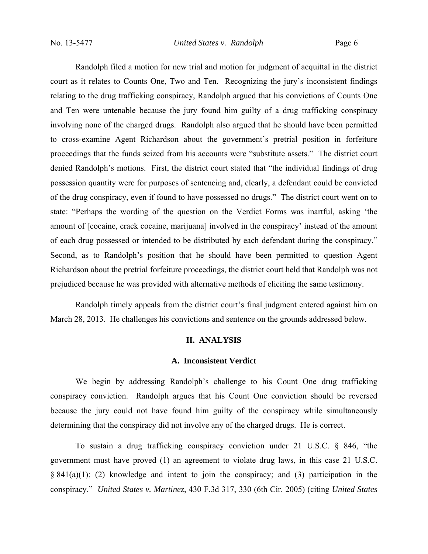Randolph filed a motion for new trial and motion for judgment of acquittal in the district court as it relates to Counts One, Two and Ten. Recognizing the jury's inconsistent findings relating to the drug trafficking conspiracy, Randolph argued that his convictions of Counts One and Ten were untenable because the jury found him guilty of a drug trafficking conspiracy involving none of the charged drugs. Randolph also argued that he should have been permitted to cross-examine Agent Richardson about the government's pretrial position in forfeiture proceedings that the funds seized from his accounts were "substitute assets." The district court denied Randolph's motions. First, the district court stated that "the individual findings of drug possession quantity were for purposes of sentencing and, clearly, a defendant could be convicted of the drug conspiracy, even if found to have possessed no drugs." The district court went on to state: "Perhaps the wording of the question on the Verdict Forms was inartful, asking 'the amount of [cocaine, crack cocaine, marijuana] involved in the conspiracy' instead of the amount of each drug possessed or intended to be distributed by each defendant during the conspiracy." Second, as to Randolph's position that he should have been permitted to question Agent Richardson about the pretrial forfeiture proceedings, the district court held that Randolph was not prejudiced because he was provided with alternative methods of eliciting the same testimony.

Randolph timely appeals from the district court's final judgment entered against him on March 28, 2013. He challenges his convictions and sentence on the grounds addressed below.

#### **II. ANALYSIS**

#### **A. Inconsistent Verdict**

We begin by addressing Randolph's challenge to his Count One drug trafficking conspiracy conviction. Randolph argues that his Count One conviction should be reversed because the jury could not have found him guilty of the conspiracy while simultaneously determining that the conspiracy did not involve any of the charged drugs. He is correct.

To sustain a drug trafficking conspiracy conviction under 21 U.S.C. § 846, "the government must have proved (1) an agreement to violate drug laws, in this case 21 U.S.C. § 841(a)(1); (2) knowledge and intent to join the conspiracy; and (3) participation in the conspiracy." *United States v. Martinez*, 430 F.3d 317, 330 (6th Cir. 2005) (citing *United States*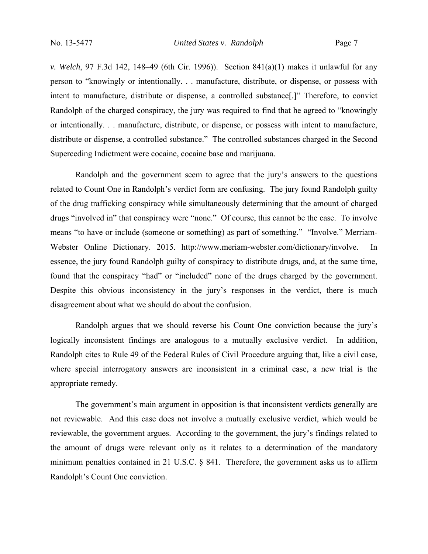*v. Welch*, 97 F.3d 142, 148–49 (6th Cir. 1996)). Section 841(a)(1) makes it unlawful for any person to "knowingly or intentionally. . . manufacture, distribute, or dispense, or possess with intent to manufacture, distribute or dispense, a controlled substance[.]" Therefore, to convict Randolph of the charged conspiracy, the jury was required to find that he agreed to "knowingly or intentionally. . . manufacture, distribute, or dispense, or possess with intent to manufacture, distribute or dispense, a controlled substance." The controlled substances charged in the Second Superceding Indictment were cocaine, cocaine base and marijuana.

Randolph and the government seem to agree that the jury's answers to the questions related to Count One in Randolph's verdict form are confusing. The jury found Randolph guilty of the drug trafficking conspiracy while simultaneously determining that the amount of charged drugs "involved in" that conspiracy were "none." Of course, this cannot be the case. To involve means "to have or include (someone or something) as part of something." "Involve." Merriam-Webster Online Dictionary. 2015. http://www.meriam-webster.com/dictionary/involve. In essence, the jury found Randolph guilty of conspiracy to distribute drugs, and, at the same time, found that the conspiracy "had" or "included" none of the drugs charged by the government. Despite this obvious inconsistency in the jury's responses in the verdict, there is much disagreement about what we should do about the confusion.

Randolph argues that we should reverse his Count One conviction because the jury's logically inconsistent findings are analogous to a mutually exclusive verdict. In addition, Randolph cites to Rule 49 of the Federal Rules of Civil Procedure arguing that, like a civil case, where special interrogatory answers are inconsistent in a criminal case, a new trial is the appropriate remedy.

The government's main argument in opposition is that inconsistent verdicts generally are not reviewable. And this case does not involve a mutually exclusive verdict, which would be reviewable, the government argues. According to the government, the jury's findings related to the amount of drugs were relevant only as it relates to a determination of the mandatory minimum penalties contained in 21 U.S.C. § 841. Therefore, the government asks us to affirm Randolph's Count One conviction.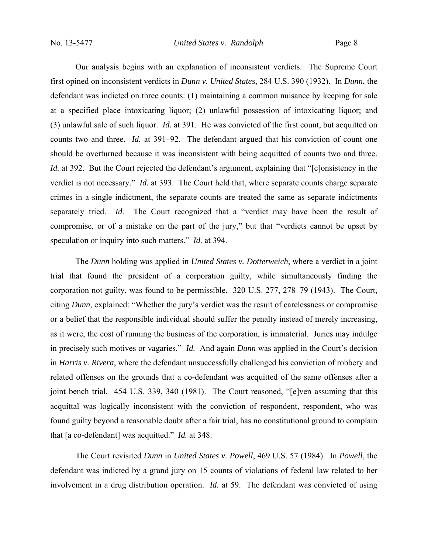Our analysis begins with an explanation of inconsistent verdicts. The Supreme Court first opined on inconsistent verdicts in *Dunn v. United States*, 284 U.S. 390 (1932). In *Dunn*, the defendant was indicted on three counts: (1) maintaining a common nuisance by keeping for sale at a specified place intoxicating liquor; (2) unlawful possession of intoxicating liquor; and (3) unlawful sale of such liquor. *Id.* at 391. He was convicted of the first count, but acquitted on counts two and three. *Id.* at 391–92. The defendant argued that his conviction of count one should be overturned because it was inconsistent with being acquitted of counts two and three. *Id.* at 392. But the Court rejected the defendant's argument, explaining that "[c]onsistency in the verdict is not necessary." *Id.* at 393. The Court held that, where separate counts charge separate crimes in a single indictment, the separate counts are treated the same as separate indictments separately tried. *Id.* The Court recognized that a "verdict may have been the result of compromise, or of a mistake on the part of the jury," but that "verdicts cannot be upset by speculation or inquiry into such matters." *Id.* at 394.

The *Dunn* holding was applied in *United States v. Dotterweich*, where a verdict in a joint trial that found the president of a corporation guilty, while simultaneously finding the corporation not guilty, was found to be permissible. 320 U.S. 277, 278–79 (1943). The Court, citing *Dunn*, explained: "Whether the jury's verdict was the result of carelessness or compromise or a belief that the responsible individual should suffer the penalty instead of merely increasing, as it were, the cost of running the business of the corporation, is immaterial. Juries may indulge in precisely such motives or vagaries." *Id.* And again *Dunn* was applied in the Court's decision in *Harris v. Rivera*, where the defendant unsuccessfully challenged his conviction of robbery and related offenses on the grounds that a co-defendant was acquitted of the same offenses after a joint bench trial. 454 U.S. 339, 340 (1981). The Court reasoned, "[e]ven assuming that this acquittal was logically inconsistent with the conviction of respondent, respondent, who was found guilty beyond a reasonable doubt after a fair trial, has no constitutional ground to complain that [a co-defendant] was acquitted." *Id.* at 348.

The Court revisited *Dunn* in *United States v. Powell*, 469 U.S. 57 (1984). In *Powell*, the defendant was indicted by a grand jury on 15 counts of violations of federal law related to her involvement in a drug distribution operation. *Id.* at 59. The defendant was convicted of using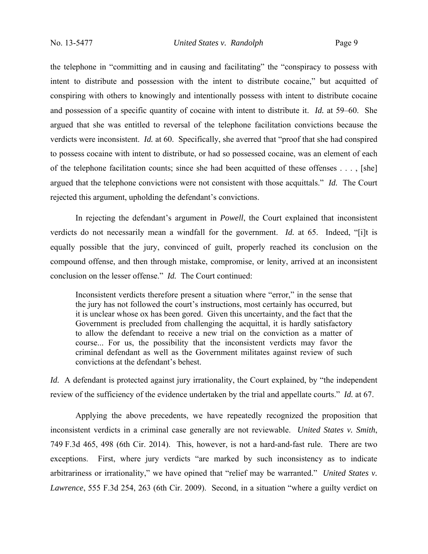the telephone in "committing and in causing and facilitating" the "conspiracy to possess with intent to distribute and possession with the intent to distribute cocaine," but acquitted of conspiring with others to knowingly and intentionally possess with intent to distribute cocaine and possession of a specific quantity of cocaine with intent to distribute it. *Id.* at 59–60. She argued that she was entitled to reversal of the telephone facilitation convictions because the verdicts were inconsistent. *Id.* at 60. Specifically, she averred that "proof that she had conspired to possess cocaine with intent to distribute, or had so possessed cocaine, was an element of each of the telephone facilitation counts; since she had been acquitted of these offenses . . . , [she] argued that the telephone convictions were not consistent with those acquittals." *Id.* The Court rejected this argument, upholding the defendant's convictions.

In rejecting the defendant's argument in *Powell*, the Court explained that inconsistent verdicts do not necessarily mean a windfall for the government. *Id.* at 65. Indeed, "[i]t is equally possible that the jury, convinced of guilt, properly reached its conclusion on the compound offense, and then through mistake, compromise, or lenity, arrived at an inconsistent conclusion on the lesser offense." *Id.* The Court continued:

Inconsistent verdicts therefore present a situation where "error," in the sense that the jury has not followed the court's instructions, most certainly has occurred, but it is unclear whose ox has been gored. Given this uncertainty, and the fact that the Government is precluded from challenging the acquittal, it is hardly satisfactory to allow the defendant to receive a new trial on the conviction as a matter of course... For us, the possibility that the inconsistent verdicts may favor the criminal defendant as well as the Government militates against review of such convictions at the defendant's behest.

*Id.* A defendant is protected against jury irrationality, the Court explained, by "the independent review of the sufficiency of the evidence undertaken by the trial and appellate courts." *Id.* at 67.

Applying the above precedents, we have repeatedly recognized the proposition that inconsistent verdicts in a criminal case generally are not reviewable. *United States v. Smith*, 749 F.3d 465, 498 (6th Cir. 2014). This, however, is not a hard-and-fast rule. There are two exceptions. First, where jury verdicts "are marked by such inconsistency as to indicate arbitrariness or irrationality," we have opined that "relief may be warranted." *United States v. Lawrence*, 555 F.3d 254, 263 (6th Cir. 2009). Second, in a situation "where a guilty verdict on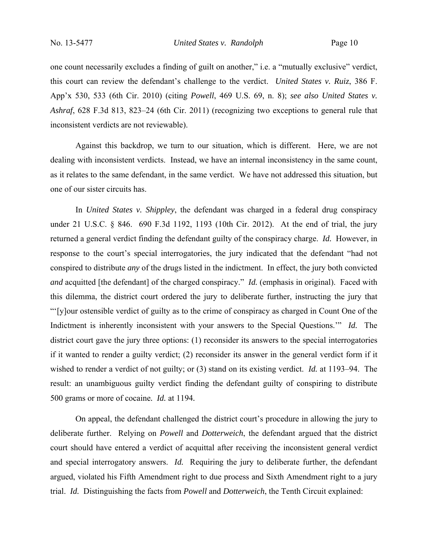one count necessarily excludes a finding of guilt on another," i.e. a "mutually exclusive" verdict, this court can review the defendant's challenge to the verdict. *United States v. Ruiz*, 386 F. App'x 530, 533 (6th Cir. 2010) (citing *Powell*, 469 U.S. 69, n. 8); *see also United States v. Ashraf*, 628 F.3d 813, 823–24 (6th Cir. 2011) (recognizing two exceptions to general rule that inconsistent verdicts are not reviewable).

Against this backdrop, we turn to our situation, which is different. Here, we are not dealing with inconsistent verdicts. Instead, we have an internal inconsistency in the same count, as it relates to the same defendant, in the same verdict. We have not addressed this situation, but one of our sister circuits has.

In *United States v. Shippley*, the defendant was charged in a federal drug conspiracy under 21 U.S.C. § 846. 690 F.3d 1192, 1193 (10th Cir. 2012). At the end of trial, the jury returned a general verdict finding the defendant guilty of the conspiracy charge. *Id.* However, in response to the court's special interrogatories, the jury indicated that the defendant "had not conspired to distribute *any* of the drugs listed in the indictment. In effect, the jury both convicted *and* acquitted [the defendant] of the charged conspiracy." *Id.* (emphasis in original). Faced with this dilemma, the district court ordered the jury to deliberate further, instructing the jury that "'[y]our ostensible verdict of guilty as to the crime of conspiracy as charged in Count One of the Indictment is inherently inconsistent with your answers to the Special Questions.'" *Id.* The district court gave the jury three options: (1) reconsider its answers to the special interrogatories if it wanted to render a guilty verdict; (2) reconsider its answer in the general verdict form if it wished to render a verdict of not guilty; or (3) stand on its existing verdict. *Id.* at 1193–94. The result: an unambiguous guilty verdict finding the defendant guilty of conspiring to distribute 500 grams or more of cocaine*. Id.* at 1194*.* 

On appeal, the defendant challenged the district court's procedure in allowing the jury to deliberate further. Relying on *Powell* and *Dotterweich*, the defendant argued that the district court should have entered a verdict of acquittal after receiving the inconsistent general verdict and special interrogatory answers. *Id.* Requiring the jury to deliberate further, the defendant argued, violated his Fifth Amendment right to due process and Sixth Amendment right to a jury trial. *Id.* Distinguishing the facts from *Powell* and *Dotterweich*, the Tenth Circuit explained: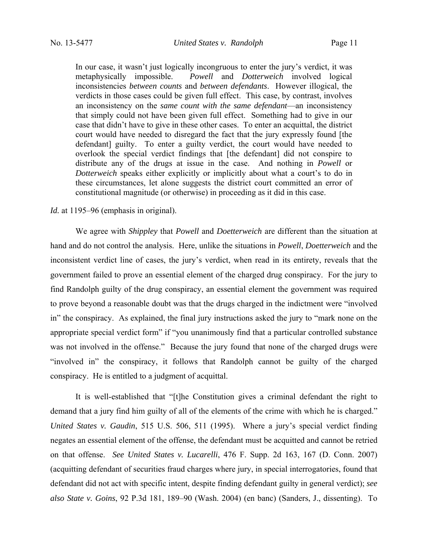In our case, it wasn't just logically incongruous to enter the jury's verdict, it was metaphysically impossible. *Powell* and *Dotterweich* involved logical inconsistencies *between counts* and *between defendants*. However illogical, the verdicts in those cases could be given full effect. This case, by contrast, involves an inconsistency on the *same count with the same defendant*—an inconsistency that simply could not have been given full effect. Something had to give in our case that didn't have to give in these other cases. To enter an acquittal, the district court would have needed to disregard the fact that the jury expressly found [the defendant] guilty. To enter a guilty verdict, the court would have needed to overlook the special verdict findings that [the defendant] did not conspire to distribute any of the drugs at issue in the case. And nothing in *Powell* or *Dotterweich* speaks either explicitly or implicitly about what a court's to do in these circumstances, let alone suggests the district court committed an error of constitutional magnitude (or otherwise) in proceeding as it did in this case.

### *Id.* at 1195–96 (emphasis in original).

We agree with *Shippley* that *Powell* and *Doetterweich* are different than the situation at hand and do not control the analysis. Here, unlike the situations in *Powell*, *Doetterweich* and the inconsistent verdict line of cases, the jury's verdict, when read in its entirety, reveals that the government failed to prove an essential element of the charged drug conspiracy. For the jury to find Randolph guilty of the drug conspiracy, an essential element the government was required to prove beyond a reasonable doubt was that the drugs charged in the indictment were "involved in" the conspiracy. As explained, the final jury instructions asked the jury to "mark none on the appropriate special verdict form" if "you unanimously find that a particular controlled substance was not involved in the offense." Because the jury found that none of the charged drugs were "involved in" the conspiracy, it follows that Randolph cannot be guilty of the charged conspiracy. He is entitled to a judgment of acquittal.

It is well-established that "[t]he Constitution gives a criminal defendant the right to demand that a jury find him guilty of all of the elements of the crime with which he is charged." *United States v. Gaudin*, 515 U.S. 506, 511 (1995). Where a jury's special verdict finding negates an essential element of the offense, the defendant must be acquitted and cannot be retried on that offense. *See United States v. Lucarelli*, 476 F. Supp. 2d 163, 167 (D. Conn. 2007) (acquitting defendant of securities fraud charges where jury, in special interrogatories, found that defendant did not act with specific intent, despite finding defendant guilty in general verdict); *see also State v. Goins*, 92 P.3d 181, 189–90 (Wash. 2004) (en banc) (Sanders, J., dissenting). To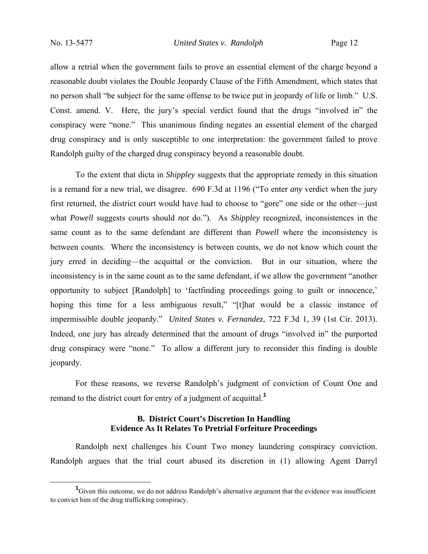No. 13-5477 *United States v. Randolph* Page 12

allow a retrial when the government fails to prove an essential element of the charge beyond a reasonable doubt violates the Double Jeopardy Clause of the Fifth Amendment, which states that no person shall "be subject for the same offense to be twice put in jeopardy of life or limb." U.S. Const. amend. V. Here, the jury's special verdict found that the drugs "involved in" the conspiracy were "none." This unanimous finding negates an essential element of the charged drug conspiracy and is only susceptible to one interpretation: the government failed to prove Randolph guilty of the charged drug conspiracy beyond a reasonable doubt.

To the extent that dicta in *Shippley* suggests that the appropriate remedy in this situation is a remand for a new trial, we disagree. 690 F.3d at 1196 ("To enter *any* verdict when the jury first returned, the district court would have had to choose to "gore" one side or the other—just what *Powell* suggests courts should *not* do."). As *Shippley* recognized, inconsistences in the same count as to the same defendant are different than *Powell* where the inconsistency is between counts. Where the inconsistency is between counts, we do not know which count the jury erred in deciding—the acquittal or the conviction. But in our situation, where the inconsistency is in the same count as to the same defendant, if we allow the government "another opportunity to subject [Randolph] to 'factfinding proceedings going to guilt or innocence,' hoping this time for a less ambiguous result," "[t]hat would be a classic instance of impermissible double jeopardy." *United States v. Fernandez*, 722 F.3d 1, 39 (1st Cir. 2013). Indeed, one jury has already determined that the amount of drugs "involved in" the purported drug conspiracy were "none." To allow a different jury to reconsider this finding is double jeopardy.

For these reasons, we reverse Randolph's judgment of conviction of Count One and remand to the district court for entry of a judgment of acquittal.**<sup>1</sup>**

# **B. District Court's Discretion In Handling Evidence As It Relates To Pretrial Forfeiture Proceedings**

Randolph next challenges his Count Two money laundering conspiracy conviction. Randolph argues that the trial court abused its discretion in (1) allowing Agent Darryl

<sup>&</sup>lt;u>1</u> <sup>1</sup>Given this outcome, we do not address Randolph's alternative argument that the evidence was insufficient to convict him of the drug trafficking conspiracy.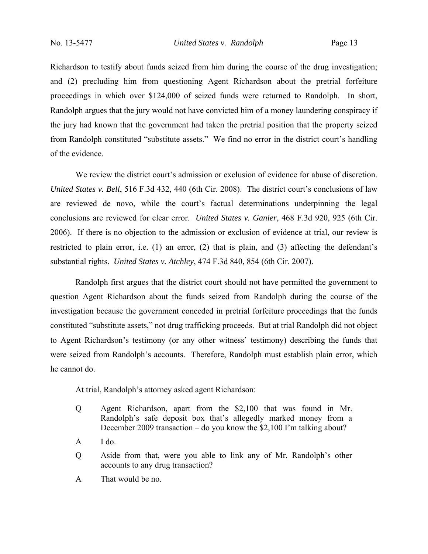Richardson to testify about funds seized from him during the course of the drug investigation; and (2) precluding him from questioning Agent Richardson about the pretrial forfeiture proceedings in which over \$124,000 of seized funds were returned to Randolph. In short, Randolph argues that the jury would not have convicted him of a money laundering conspiracy if the jury had known that the government had taken the pretrial position that the property seized from Randolph constituted "substitute assets." We find no error in the district court's handling of the evidence.

We review the district court's admission or exclusion of evidence for abuse of discretion. *United States v. Bell*, 516 F.3d 432, 440 (6th Cir. 2008). The district court's conclusions of law are reviewed de novo, while the court's factual determinations underpinning the legal conclusions are reviewed for clear error. *United States v. Ganier*, 468 F.3d 920, 925 (6th Cir. 2006). If there is no objection to the admission or exclusion of evidence at trial, our review is restricted to plain error, i.e. (1) an error, (2) that is plain, and (3) affecting the defendant's substantial rights. *United States v. Atchley*, 474 F.3d 840, 854 (6th Cir. 2007).

Randolph first argues that the district court should not have permitted the government to question Agent Richardson about the funds seized from Randolph during the course of the investigation because the government conceded in pretrial forfeiture proceedings that the funds constituted "substitute assets," not drug trafficking proceeds. But at trial Randolph did not object to Agent Richardson's testimony (or any other witness' testimony) describing the funds that were seized from Randolph's accounts. Therefore, Randolph must establish plain error, which he cannot do.

At trial, Randolph's attorney asked agent Richardson:

- Q Agent Richardson, apart from the \$2,100 that was found in Mr. Randolph's safe deposit box that's allegedly marked money from a December 2009 transaction – do you know the \$2,100 I'm talking about?
- $A$  I do.
- Q Aside from that, were you able to link any of Mr. Randolph's other accounts to any drug transaction?
- A That would be no.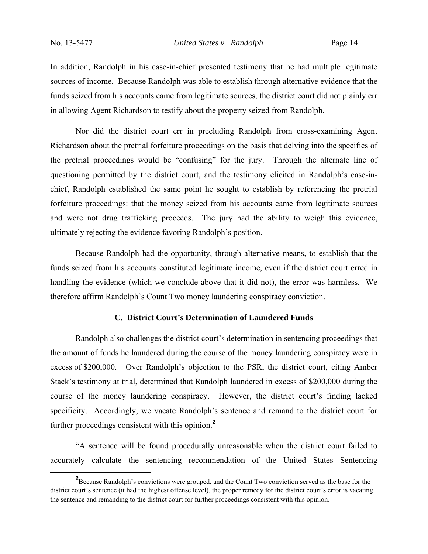In addition, Randolph in his case-in-chief presented testimony that he had multiple legitimate sources of income. Because Randolph was able to establish through alternative evidence that the funds seized from his accounts came from legitimate sources, the district court did not plainly err in allowing Agent Richardson to testify about the property seized from Randolph.

Nor did the district court err in precluding Randolph from cross-examining Agent Richardson about the pretrial forfeiture proceedings on the basis that delving into the specifics of the pretrial proceedings would be "confusing" for the jury. Through the alternate line of questioning permitted by the district court, and the testimony elicited in Randolph's case-inchief, Randolph established the same point he sought to establish by referencing the pretrial forfeiture proceedings: that the money seized from his accounts came from legitimate sources and were not drug trafficking proceeds. The jury had the ability to weigh this evidence, ultimately rejecting the evidence favoring Randolph's position.

Because Randolph had the opportunity, through alternative means, to establish that the funds seized from his accounts constituted legitimate income, even if the district court erred in handling the evidence (which we conclude above that it did not), the error was harmless. We therefore affirm Randolph's Count Two money laundering conspiracy conviction.

# **C. District Court's Determination of Laundered Funds**

Randolph also challenges the district court's determination in sentencing proceedings that the amount of funds he laundered during the course of the money laundering conspiracy were in excess of \$200,000. Over Randolph's objection to the PSR, the district court, citing Amber Stack's testimony at trial, determined that Randolph laundered in excess of \$200,000 during the course of the money laundering conspiracy. However, the district court's finding lacked specificity. Accordingly, we vacate Randolph's sentence and remand to the district court for further proceedings consistent with this opinion.**<sup>2</sup>**

"A sentence will be found procedurally unreasonable when the district court failed to accurately calculate the sentencing recommendation of the United States Sentencing

**<sup>2</sup>** <sup>2</sup> Because Randolph's convictions were grouped, and the Count Two conviction served as the base for the district court's sentence (it had the highest offense level), the proper remedy for the district court's error is vacating the sentence and remanding to the district court for further proceedings consistent with this opinion.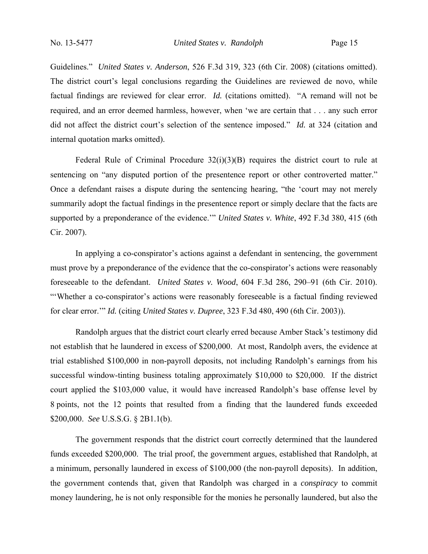Guidelines." *United States v. Anderson*, 526 F.3d 319, 323 (6th Cir. 2008) (citations omitted). The district court's legal conclusions regarding the Guidelines are reviewed de novo, while factual findings are reviewed for clear error. *Id.* (citations omitted). "A remand will not be required, and an error deemed harmless, however, when 'we are certain that . . . any such error did not affect the district court's selection of the sentence imposed." *Id.* at 324 (citation and internal quotation marks omitted).

Federal Rule of Criminal Procedure 32(i)(3)(B) requires the district court to rule at sentencing on "any disputed portion of the presentence report or other controverted matter." Once a defendant raises a dispute during the sentencing hearing, "the 'court may not merely summarily adopt the factual findings in the presentence report or simply declare that the facts are supported by a preponderance of the evidence.'" *United States v. White*, 492 F.3d 380, 415 (6th Cir. 2007).

In applying a co-conspirator's actions against a defendant in sentencing, the government must prove by a preponderance of the evidence that the co-conspirator's actions were reasonably foreseeable to the defendant. *United States v. Wood*, 604 F.3d 286, 290–91 (6th Cir. 2010). "'Whether a co-conspirator's actions were reasonably foreseeable is a factual finding reviewed for clear error.'" *Id.* (citing *United States v. Dupree*, 323 F.3d 480, 490 (6th Cir. 2003)).

Randolph argues that the district court clearly erred because Amber Stack's testimony did not establish that he laundered in excess of \$200,000. At most, Randolph avers, the evidence at trial established \$100,000 in non-payroll deposits, not including Randolph's earnings from his successful window-tinting business totaling approximately \$10,000 to \$20,000. If the district court applied the \$103,000 value, it would have increased Randolph's base offense level by 8 points, not the 12 points that resulted from a finding that the laundered funds exceeded \$200,000. *See* U.S.S.G. § 2B1.1(b).

The government responds that the district court correctly determined that the laundered funds exceeded \$200,000. The trial proof, the government argues, established that Randolph, at a minimum, personally laundered in excess of \$100,000 (the non-payroll deposits). In addition, the government contends that, given that Randolph was charged in a *conspiracy* to commit money laundering, he is not only responsible for the monies he personally laundered, but also the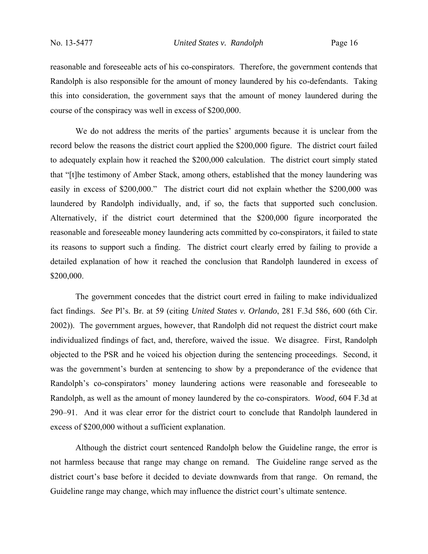reasonable and foreseeable acts of his co-conspirators. Therefore, the government contends that Randolph is also responsible for the amount of money laundered by his co-defendants. Taking this into consideration, the government says that the amount of money laundered during the course of the conspiracy was well in excess of \$200,000.

We do not address the merits of the parties' arguments because it is unclear from the record below the reasons the district court applied the \$200,000 figure. The district court failed to adequately explain how it reached the \$200,000 calculation. The district court simply stated that "[t]he testimony of Amber Stack, among others, established that the money laundering was easily in excess of \$200,000." The district court did not explain whether the \$200,000 was laundered by Randolph individually, and, if so, the facts that supported such conclusion. Alternatively, if the district court determined that the \$200,000 figure incorporated the reasonable and foreseeable money laundering acts committed by co-conspirators, it failed to state its reasons to support such a finding. The district court clearly erred by failing to provide a detailed explanation of how it reached the conclusion that Randolph laundered in excess of \$200,000.

The government concedes that the district court erred in failing to make individualized fact findings. *See* Pl's. Br. at 59 (citing *United States v. Orlando*, 281 F.3d 586, 600 (6th Cir. 2002)). The government argues, however, that Randolph did not request the district court make individualized findings of fact, and, therefore, waived the issue. We disagree. First, Randolph objected to the PSR and he voiced his objection during the sentencing proceedings. Second, it was the government's burden at sentencing to show by a preponderance of the evidence that Randolph's co-conspirators' money laundering actions were reasonable and foreseeable to Randolph, as well as the amount of money laundered by the co-conspirators. *Wood*, 604 F.3d at 290–91. And it was clear error for the district court to conclude that Randolph laundered in excess of \$200,000 without a sufficient explanation.

Although the district court sentenced Randolph below the Guideline range, the error is not harmless because that range may change on remand. The Guideline range served as the district court's base before it decided to deviate downwards from that range. On remand, the Guideline range may change, which may influence the district court's ultimate sentence.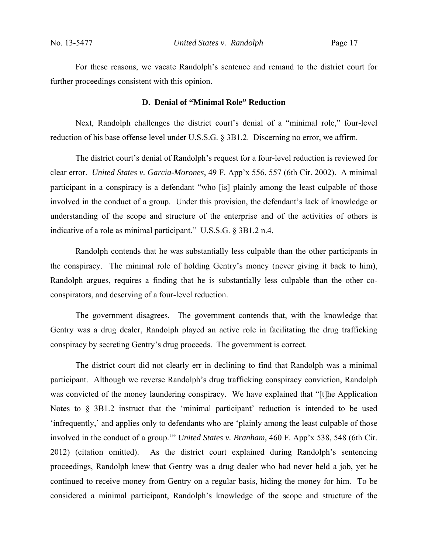For these reasons, we vacate Randolph's sentence and remand to the district court for further proceedings consistent with this opinion.

#### **D. Denial of "Minimal Role" Reduction**

Next, Randolph challenges the district court's denial of a "minimal role," four-level reduction of his base offense level under U.S.S.G. § 3B1.2. Discerning no error, we affirm.

The district court's denial of Randolph's request for a four-level reduction is reviewed for clear error. *United States v. Garcia-Morones*, 49 F. App'x 556, 557 (6th Cir. 2002). A minimal participant in a conspiracy is a defendant "who [is] plainly among the least culpable of those involved in the conduct of a group. Under this provision, the defendant's lack of knowledge or understanding of the scope and structure of the enterprise and of the activities of others is indicative of a role as minimal participant." U.S.S.G. § 3B1.2 n.4.

Randolph contends that he was substantially less culpable than the other participants in the conspiracy. The minimal role of holding Gentry's money (never giving it back to him), Randolph argues, requires a finding that he is substantially less culpable than the other coconspirators, and deserving of a four-level reduction.

The government disagrees. The government contends that, with the knowledge that Gentry was a drug dealer, Randolph played an active role in facilitating the drug trafficking conspiracy by secreting Gentry's drug proceeds. The government is correct.

The district court did not clearly err in declining to find that Randolph was a minimal participant. Although we reverse Randolph's drug trafficking conspiracy conviction, Randolph was convicted of the money laundering conspiracy. We have explained that "[t]he Application Notes to § 3B1.2 instruct that the 'minimal participant' reduction is intended to be used 'infrequently,' and applies only to defendants who are 'plainly among the least culpable of those involved in the conduct of a group.'" *United States v. Branham*, 460 F. App'x 538, 548 (6th Cir. 2012) (citation omitted). As the district court explained during Randolph's sentencing proceedings, Randolph knew that Gentry was a drug dealer who had never held a job, yet he continued to receive money from Gentry on a regular basis, hiding the money for him. To be considered a minimal participant, Randolph's knowledge of the scope and structure of the